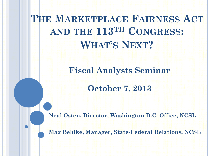**THE MARKETPLACE FAIRNESS ACT AND THE 113TH CONGRESS: WHAT'S NEXT?**

> **Fiscal Analysts Seminar October 7, 2013**

**Neal Osten, Director, Washington D.C. Office, NCSL**

**Max Behlke, Manager, State-Federal Relations, NCSL**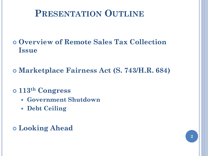#### **PRESENTATION OUTLINE**

 **Overview of Remote Sales Tax Collection Issue**

**Marketplace Fairness Act (S. 743/H.R. 684)**

**113th Congress**

- **Government Shutdown**
- **Debt Ceiling**

**Looking Ahead**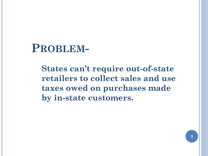#### **PROBLEM-**

**States can't require out-of-state retailers to collect sales and use taxes owed on purchases made by in-state customers.**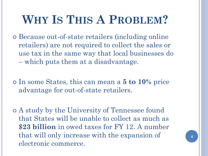# **WHY IS THIS A PROBLEM?**

 Because out-of-state retailers (including online retailers) are not required to collect the sales or use tax in the same way that local businesses do – which puts them at a disadvantage.

 In some States, this can mean a **5 to 10%** price advantage for out-of-state retailers.

 A study by the University of Tennessee found that States will be unable to collect as much as **\$23 billion** in owed taxes for FY 12. A number that will only increase with the expansion of electronic commerce.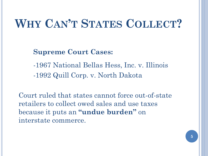# **WHY CAN'T STATES COLLECT?**

**Supreme Court Cases:**

-1967 National Bellas Hess, Inc. v. Illinois -1992 Quill Corp. v. North Dakota

Court ruled that states cannot force out-of-state retailers to collect owed sales and use taxes because it puts an **"undue burden"** on interstate commerce.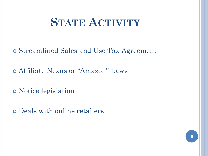## **STATE ACTIVITY**

Streamlined Sales and Use Tax Agreement

Affiliate Nexus or "Amazon" Laws

Notice legislation

Deals with online retailers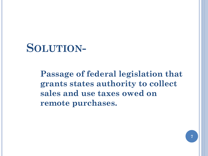#### **SOLUTION-**

**Passage of federal legislation that grants states authority to collect sales and use taxes owed on remote purchases.**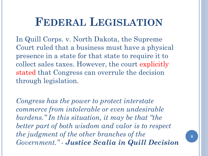## **FEDERAL LEGISLATION**

In Quill Corps. v. North Dakota, the Supreme Court ruled that a business must have a physical presence in a state for that state to require it to collect sales taxes. However, the court explicitly stated that Congress can overrule the decision through legislation.

*Congress has the power to protect interstate commerce from intolerable or even undesirable burdens." In this situation, it may be that "the better part of both wisdom and valor is to respect the judgment of the other branches of the Government." - Justice Scalia in Quill Decision*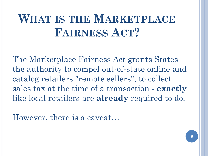# **WHAT IS THE MARKETPLACE FAIRNESS ACT?**

The Marketplace Fairness Act grants States the authority to compel out-of-state online and catalog retailers "remote sellers", to collect sales tax at the time of a transaction - **exactly** like local retailers are **already** required to do.

However, there is a caveat…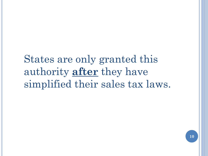## States are only granted this authority **after** they have simplified their sales tax laws.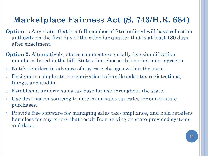#### **Marketplace Fairness Act (S. 743/H.R. 684)**

- **Option 1:** Any state that is a full member of Streamlined will have collection authority on the first day of the calendar quarter that is at least 180 days after enactment.
- **Option 2:** Alternatively, states can meet essentially five simplification mandates listed in the bill. States that choose this option must agree to:
- 1. Notify retailers in advance of any rate changes within the state.
- 2. Designate a single state organization to handle sales tax registrations, filings, and audits.
- 3. Establish a uniform sales tax base for use throughout the state.
- 4. Use destination sourcing to determine sales tax rates for out-of-state purchases.
- 5. Provide free software for managing sales tax compliance, and hold retailers harmless for any errors that result from relying on state-provided systems and data.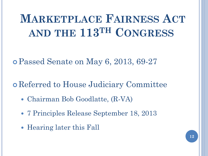# **MARKETPLACE FAIRNESS ACT AND THE 113TH CONGRESS**

Passed Senate on May 6, 2013, 69-27

Referred to House Judiciary Committee

- Chairman Bob Goodlatte, (R-VA)
- 7 Principles Release September 18, 2013
- Hearing later this Fall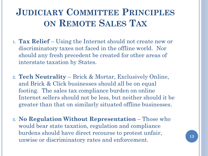#### **JUDICIARY COMMITTEE PRINCIPLES ON REMOTE SALES TAX**

- **1. Tax Relief** Using the Internet should not create new or discriminatory taxes not faced in the offline world. Nor should any fresh precedent be created for other areas of interstate taxation by States.
- **2. Tech Neutrality**  Brick & Mortar, Exclusively Online, and Brick & Click businesses should all be on equal footing. The sales tax compliance burden on online Internet sellers should not be less, but neither should it be greater than that on similarly situated offline businesses.
- **3. No Regulation Without Representation** Those who would bear state taxation, regulation and compliance burdens should have direct recourse to protest unfair, unwise or discriminatory rates and enforcement.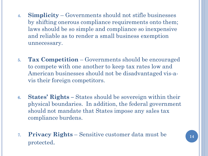- **4. Simplicity** Governments should not stifle businesses by shifting onerous compliance requirements onto them; laws should be so simple and compliance so inexpensive and reliable as to render a small business exemption unnecessary.
- **5. Tax Competition** Governments should be encouraged to compete with one another to keep tax rates low and American businesses should not be disadvantaged vis-avis their foreign competitors.
- **6. States' Rights –** States should be sovereign within their physical boundaries. In addition, the federal government should not mandate that States impose any sales tax compliance burdens.
- **7. Privacy Rights** Sensitive customer data must be protected.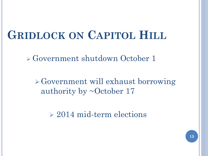## **GRIDLOCK ON CAPITOL HILL**

Government shutdown October 1

 $\triangleright$  Government will exhaust borrowing authority by  $\sim$ October 17

2014 mid-term elections